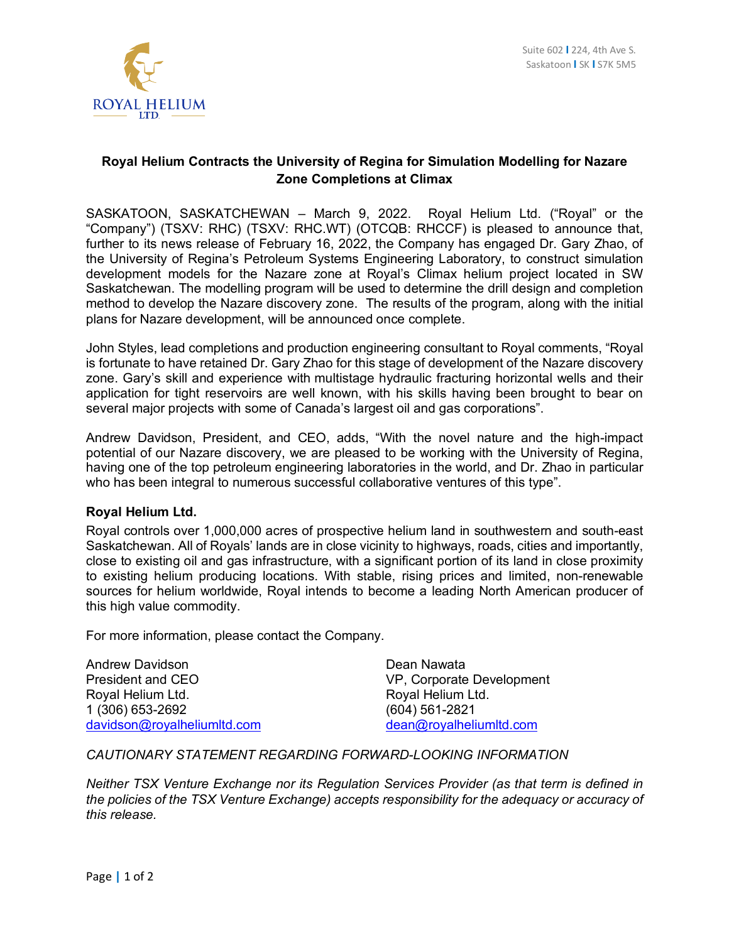

## **Royal Helium Contracts the University of Regina for Simulation Modelling for Nazare Zone Completions at Climax**

SASKATOON, SASKATCHEWAN – March 9, 2022. Royal Helium Ltd. ("Royal" or the "Company") (TSXV: RHC) (TSXV: RHC.WT) (OTCQB: RHCCF) is pleased to announce that, further to its news release of February 16, 2022, the Company has engaged Dr. Gary Zhao, of the University of Regina's Petroleum Systems Engineering Laboratory, to construct simulation development models for the Nazare zone at Royal's Climax helium project located in SW Saskatchewan. The modelling program will be used to determine the drill design and completion method to develop the Nazare discovery zone. The results of the program, along with the initial plans for Nazare development, will be announced once complete.

John Styles, lead completions and production engineering consultant to Royal comments, "Royal is fortunate to have retained Dr. Gary Zhao for this stage of development of the Nazare discovery zone. Gary's skill and experience with multistage hydraulic fracturing horizontal wells and their application for tight reservoirs are well known, with his skills having been brought to bear on several major projects with some of Canada's largest oil and gas corporations".

Andrew Davidson, President, and CEO, adds, "With the novel nature and the high-impact potential of our Nazare discovery, we are pleased to be working with the University of Regina, having one of the top petroleum engineering laboratories in the world, and Dr. Zhao in particular who has been integral to numerous successful collaborative ventures of this type".

## **Royal Helium Ltd.**

Royal controls over 1,000,000 acres of prospective helium land in southwestern and south-east Saskatchewan. All of Royals' lands are in close vicinity to highways, roads, cities and importantly, close to existing oil and gas infrastructure, with a significant portion of its land in close proximity to existing helium producing locations. With stable, rising prices and limited, non-renewable sources for helium worldwide, Royal intends to become a leading North American producer of this high value commodity.

For more information, please contact the Company.

Andrew Davidson **Dean Nawata** President and CEO VP, Corporate Development Royal Helium Ltd. **Royal Helium Ltd.** Royal Helium Ltd. 1 (306) 653-2692 (604) 561-2821 davidson@royalheliumltd.com dean@royalheliumltd.com

*CAUTIONARY STATEMENT REGARDING FORWARD-LOOKING INFORMATION*

*Neither TSX Venture Exchange nor its Regulation Services Provider (as that term is defined in the policies of the TSX Venture Exchange) accepts responsibility for the adequacy or accuracy of this release.*